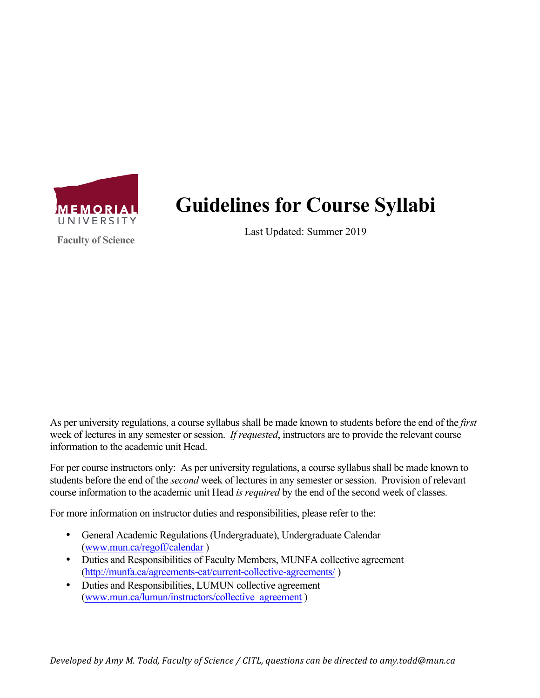

**Faculty of Science**

**Guidelines for Course Syllabi**

Last Updated: Summer 2019

As per university regulations, a course syllabus shall be made known to students before the end of the *first* week of lectures in any semester or session. *If requested*, instructors are to provide the relevant course information to the academic unit Head.

For per course instructors only: As per university regulations, a course syllabus shall be made known to students before the end of the *second* week of lectures in any semester or session. Provision of relevant course information to the academic unit Head *is required* by the end of the second week of classes.

For more information on instructor duties and responsibilities, please refer to the:

- General Academic Regulations (Undergraduate), Undergraduate Calendar (www.mun.ca/regoff/calendar )
- Duties and Responsibilities of Faculty Members, MUNFA collective agreement (http://munfa.ca/agreements-cat/current-collective-agreements/ )
- Duties and Responsibilities, LUMUN collective agreement (www.mun.ca/lumun/instructors/collective\_agreement )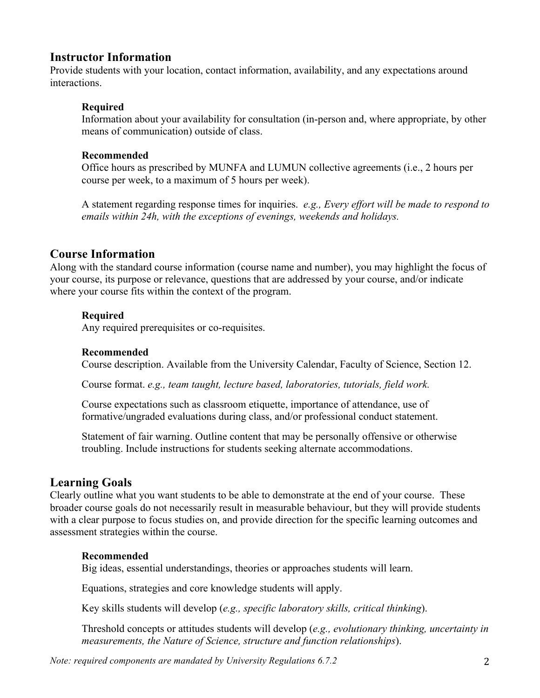## **Instructor Information**

Provide students with your location, contact information, availability, and any expectations around interactions.

### **Required**

Information about your availability for consultation (in-person and, where appropriate, by other means of communication) outside of class.

#### **Recommended**

Office hours as prescribed by MUNFA and LUMUN collective agreements (i.e., 2 hours per course per week, to a maximum of 5 hours per week).

A statement regarding response times for inquiries. *e.g., Every effort will be made to respond to emails within 24h, with the exceptions of evenings, weekends and holidays.*

# **Course Information**

Along with the standard course information (course name and number), you may highlight the focus of your course, its purpose or relevance, questions that are addressed by your course, and/or indicate where your course fits within the context of the program.

### **Required**

Any required prerequisites or co-requisites.

#### **Recommended**

Course description. Available from the University Calendar, Faculty of Science, Section 12.

Course format. *e.g., team taught, lecture based, laboratories, tutorials, field work.*

Course expectations such as classroom etiquette, importance of attendance, use of formative/ungraded evaluations during class, and/or professional conduct statement.

Statement of fair warning. Outline content that may be personally offensive or otherwise troubling. Include instructions for students seeking alternate accommodations.

## **Learning Goals**

Clearly outline what you want students to be able to demonstrate at the end of your course. These broader course goals do not necessarily result in measurable behaviour, but they will provide students with a clear purpose to focus studies on, and provide direction for the specific learning outcomes and assessment strategies within the course.

### **Recommended**

Big ideas, essential understandings, theories or approaches students will learn.

Equations, strategies and core knowledge students will apply.

Key skills students will develop (*e.g., specific laboratory skills, critical thinking*).

Threshold concepts or attitudes students will develop (*e.g., evolutionary thinking, uncertainty in measurements, the Nature of Science, structure and function relationships*).

*Note: required components are mandated by University Regulations 6.7.2* 2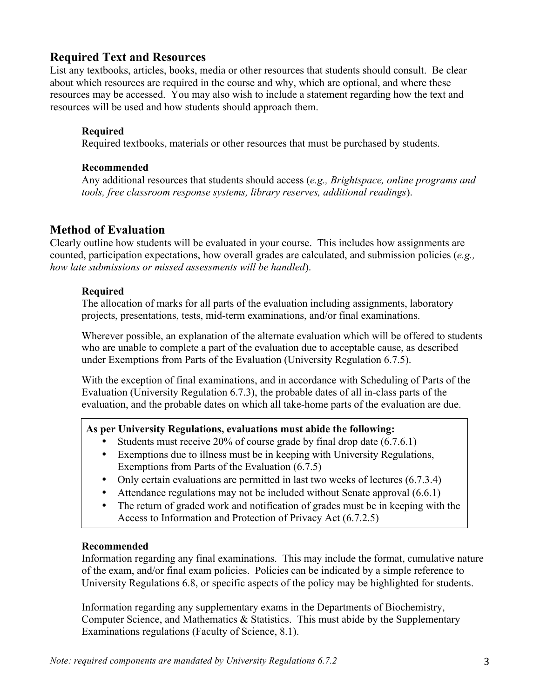# **Required Text and Resources**

List any textbooks, articles, books, media or other resources that students should consult. Be clear about which resources are required in the course and why, which are optional, and where these resources may be accessed. You may also wish to include a statement regarding how the text and resources will be used and how students should approach them.

### **Required**

Required textbooks, materials or other resources that must be purchased by students.

#### **Recommended**

Any additional resources that students should access (*e.g., Brightspace, online programs and tools, free classroom response systems, library reserves, additional readings*).

# **Method of Evaluation**

Clearly outline how students will be evaluated in your course. This includes how assignments are counted, participation expectations, how overall grades are calculated, and submission policies (*e.g., how late submissions or missed assessments will be handled*).

### **Required**

The allocation of marks for all parts of the evaluation including assignments, laboratory projects, presentations, tests, mid-term examinations, and/or final examinations.

Wherever possible, an explanation of the alternate evaluation which will be offered to students who are unable to complete a part of the evaluation due to acceptable cause, as described under Exemptions from Parts of the Evaluation (University Regulation 6.7.5).

With the exception of final examinations, and in accordance with Scheduling of Parts of the Evaluation (University Regulation 6.7.3), the probable dates of all in-class parts of the evaluation, and the probable dates on which all take-home parts of the evaluation are due.

### **As per University Regulations, evaluations must abide the following:**

- Students must receive 20% of course grade by final drop date (6.7.6.1)
- Exemptions due to illness must be in keeping with University Regulations, Exemptions from Parts of the Evaluation (6.7.5)
- Only certain evaluations are permitted in last two weeks of lectures (6.7.3.4)
- Attendance regulations may not be included without Senate approval (6.6.1)
- The return of graded work and notification of grades must be in keeping with the Access to Information and Protection of Privacy Act (6.7.2.5)

### **Recommended**

Information regarding any final examinations. This may include the format, cumulative nature of the exam, and/or final exam policies. Policies can be indicated by a simple reference to University Regulations 6.8, or specific aspects of the policy may be highlighted for students.

Information regarding any supplementary exams in the Departments of Biochemistry, Computer Science, and Mathematics & Statistics. This must abide by the Supplementary Examinations regulations (Faculty of Science, 8.1).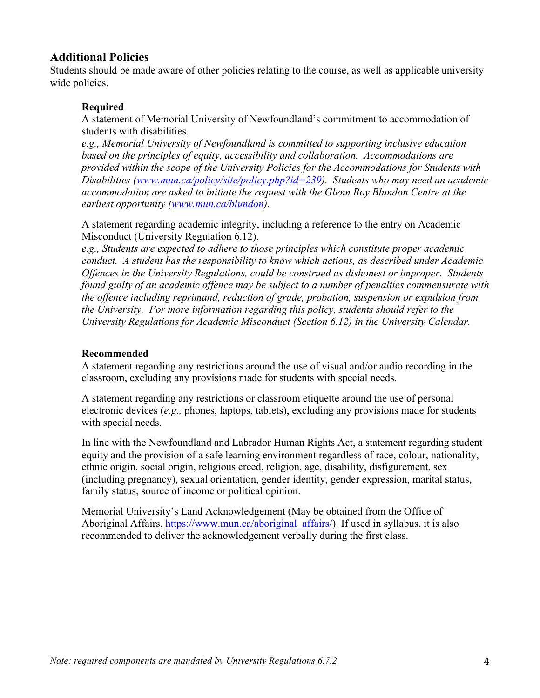# **Additional Policies**

Students should be made aware of other policies relating to the course, as well as applicable university wide policies.

### **Required**

A statement of Memorial University of Newfoundland's commitment to accommodation of students with disabilities.

*e.g., Memorial University of Newfoundland is committed to supporting inclusive education based on the principles of equity, accessibility and collaboration. Accommodations are provided within the scope of the University Policies for the Accommodations for Students with Disabilities (www.mun.ca/policy/site/policy.php?id=239). Students who may need an academic accommodation are asked to initiate the request with the Glenn Roy Blundon Centre at the earliest opportunity (www.mun.ca/blundon).* 

A statement regarding academic integrity, including a reference to the entry on Academic Misconduct (University Regulation 6.12).

*e.g., Students are expected to adhere to those principles which constitute proper academic conduct. A student has the responsibility to know which actions, as described under Academic Offences in the University Regulations, could be construed as dishonest or improper. Students found guilty of an academic offence may be subject to a number of penalties commensurate with the offence including reprimand, reduction of grade, probation, suspension or expulsion from the University. For more information regarding this policy, students should refer to the University Regulations for Academic Misconduct (Section 6.12) in the University Calendar.* 

### **Recommended**

A statement regarding any restrictions around the use of visual and/or audio recording in the classroom, excluding any provisions made for students with special needs.

A statement regarding any restrictions or classroom etiquette around the use of personal electronic devices (*e.g.,* phones, laptops, tablets), excluding any provisions made for students with special needs.

In line with the Newfoundland and Labrador Human Rights Act, a statement regarding student equity and the provision of a safe learning environment regardless of race, colour, nationality, ethnic origin, social origin, religious creed, religion, age, disability, disfigurement, sex (including pregnancy), sexual orientation, gender identity, gender expression, marital status, family status, source of income or political opinion.

Memorial University's Land Acknowledgement (May be obtained from the Office of Aboriginal Affairs, https://www.mun.ca/aboriginal\_affairs/). If used in syllabus, it is also recommended to deliver the acknowledgement verbally during the first class.